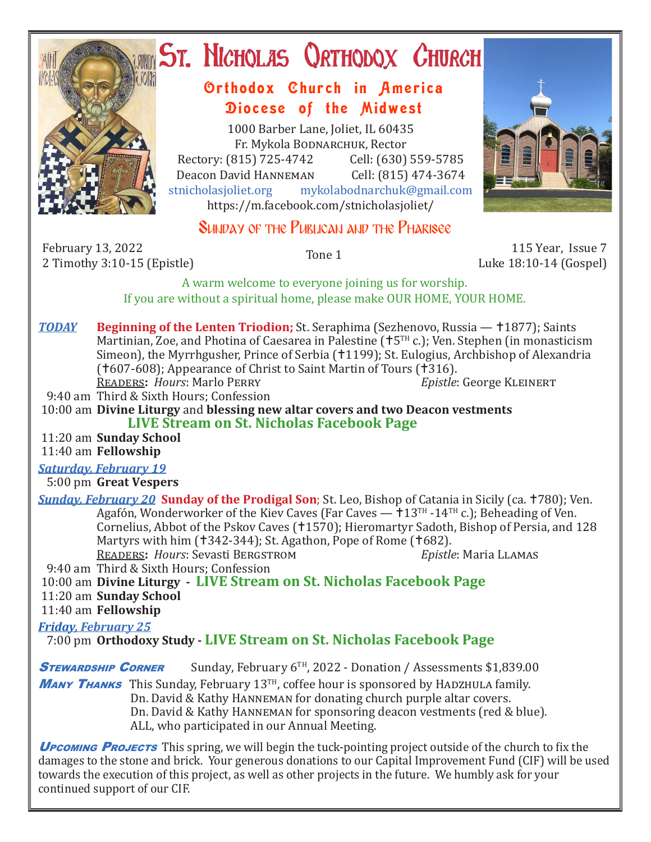

# ST. NICHOLAS QRTHODOX CHURCH

# Orthodox Church in America Diocese of the Midwest

1000 Barber Lane, Joliet, IL 60435 Fr. Mykola Bodnarchuk, Rector Rectory: (815) 725-4742 Cell: (630) 559-5785<br>Deacon David HANNEMAN Cell: (815) 474-3674 Deacon David Hanneman<br>stnicholasioliet.org mykola mykolabodnarchuk@gmail.com https://m.facebook.com/stnicholasjoliet/



## SUNDAY OF THE PUBLICAN AND THE PHARISEE

February 13, 2022 7 February 13, 2022<br>2 Timothy 3:10-15 (Epistle) 12 Tone 1 115 Year, Issue 7 2 Timothy 3:10-15 (Epistle)

Luke 18:10-14 (Gospel)

A warm welcome to everyone joining us for worship. If you are without a spiritual home, please make OUR HOME, YOUR HOME.

**TODAY Beginning of the Lenten Triodion;** St. Seraphima (Sezhenovo, Russia — †1877); Saints Martinian, Zoe, and Photina of Caesarea in Palestine ( $+5<sup>TH</sup>$ c.); Ven. Stephen (in monasticism Simeon), the Myrrhgusher, Prince of Serbia (†1199); St. Eulogius, Archbishop of Alexandria (†607-608); Appearance of Christ to Saint Martin of Tours (†316).<br>READERS: Hours: Marlo PERRY Epistle: George KLEINERT **READERS: Hours: Marlo PERRY** 

9:40 am Third & Sixth Hours; Confession

 10:00 am **Divine Liturgy** and **blessing new altar covers and two Deacon vestments LIVE Stream on St. Nicholas Facebook Page**

11:20 am **Sunday School**

11:40 am **Fellowship**

*Saturday, February 19*

5:00 pm **Great Vespers**

*Sunday, February 20* **Sunday of the Prodigal Son**; St. Leo, Bishop of Catania in Sicily (ca. 780); Ven. Agafón, Wonderworker of the Kiev Caves (Far Caves  $-13^{TH}$  -14<sup>TH</sup> c.); Beheading of Ven. Cornelius, Abbot of the Pskov Caves (†1570); Hieromartyr Sadoth, Bishop of Persia, and 128 Martyrs with him (†342-344); St. Agathon, Pope of Rome (†682).<br>READERS: Hours: Sevasti BERGSTROM *Epistle*: Maria LLAMAS READERS: *Hours*: Sevasti BERGSTROM

9:40 am Third & Sixth Hours; Confession

10:00 am **Divine Liturgy - LIVE Stream on St. Nicholas Facebook Page**

 11:20 am **Sunday School** 11:40 am **Fellowship**

### *Friday, February 25*

7:00 pm **Orthodoxy Study - LIVE Stream on St. Nicholas Facebook Page**

**STEWARDSHIP CORNER** Sunday, February  $6^{TH}$ , 2022 - Donation / Assessments \$1,839.00

**MANY THANKS** This Sunday, February 13<sup>TH</sup>, coffee hour is sponsored by HADZHULA family. Dn. David & Kathy Hanneman for donating church purple altar covers. Dn. David & Kathy Hanneman for sponsoring deacon vestments (red & blue). ALL, who participated in our Annual Meeting.

**UPCOMING PROJECTS** This spring, we will begin the tuck-pointing project outside of the church to fix the damages to the stone and brick. Your generous donations to our Capital Improvement Fund (CIF) will be used towards the execution of this project, as well as other projects in the future. We humbly ask for your continued support of our CIF.